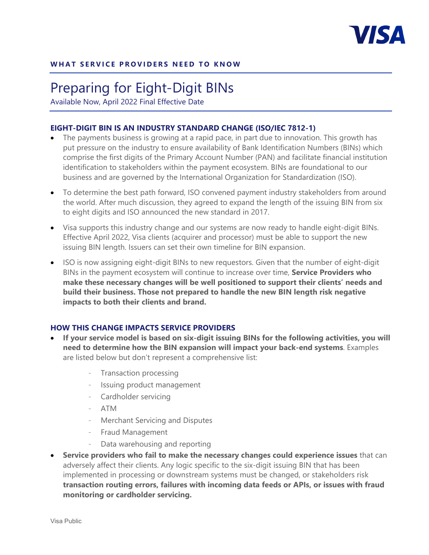

# Preparing for Eight-Digit BINs

Available Now, April 2022 Final Effective Date

## **EIGHT-DIGIT BIN IS AN INDUSTRY STANDARD CHANGE (ISO/IEC 7812-1)**

- The payments business is growing at a rapid pace, in part due to innovation. This growth has put pressure on the industry to ensure availability of Bank Identification Numbers (BINs) which comprise the first digits of the Primary Account Number (PAN) and facilitate financial institution identification to stakeholders within the payment ecosystem. BINs are foundational to our business and are governed by the International Organization for Standardization (ISO).
- To determine the best path forward, ISO convened payment industry stakeholders from around the world. After much discussion, they agreed to expand the length of the issuing BIN from six to eight digits and ISO announced the new standard in 2017.
- Visa supports this industry change and our systems are now ready to handle eight-digit BINs. Effective April 2022, Visa clients (acquirer and processor) must be able to support the new issuing BIN length. Issuers can set their own timeline for BIN expansion.
- ISO is now assigning eight-digit BINs to new requestors. Given that the number of eight-digit BINs in the payment ecosystem will continue to increase over time, **Service Providers who make these necessary changes will be well positioned to support their clients' needs and build their business. Those not prepared to handle the new BIN length risk negative impacts to both their clients and brand.**

### **HOW THIS CHANGE IMPACTS SERVICE PROVIDERS**

- **If your service model is based on six-digit issuing BINs for the following activities, you will need to determine how the BIN expansion will impact your back-end systems**. Examples are listed below but don't represent a comprehensive list:
	- Transaction processing
	- Issuing product management
	- Cardholder servicing
	- ATM
	- Merchant Servicing and Disputes
	- Fraud Management
	- Data warehousing and reporting
- **Service providers who fail to make the necessary changes could experience issues** that can adversely affect their clients. Any logic specific to the six-digit issuing BIN that has been implemented in processing or downstream systems must be changed, or stakeholders risk **transaction routing errors, failures with incoming data feeds or APIs, or issues with fraud monitoring or cardholder servicing.**